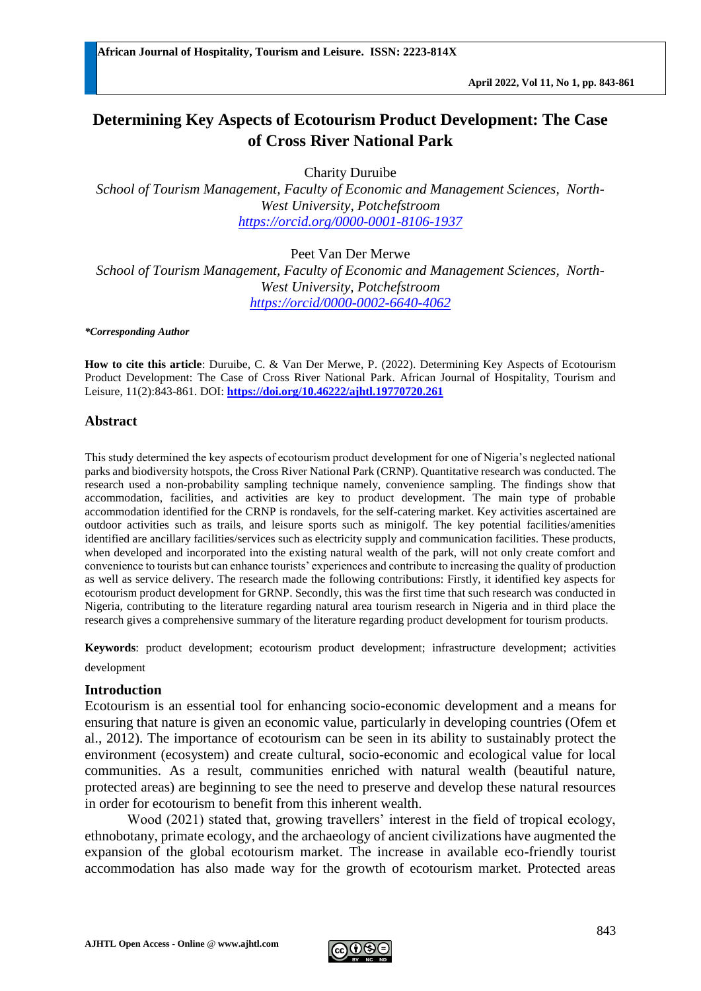# **Determining Key Aspects of Ecotourism Product Development: The Case of Cross River National Park**

Charity Duruibe

*School of Tourism Management, Faculty of Economic and Management Sciences, North-West University, Potchefstroom <https://orcid.org/0000-0001-8106-1937>*

Peet Van Der Merwe *School of Tourism Management, Faculty of Economic and Management Sciences, North-West University, Potchefstroom <https://orcid/0000-0002-6640-4062>*

#### *\*Corresponding Author*

**How to cite this article**: Duruibe, C. & Van Der Merwe, P. (2022). Determining Key Aspects of Ecotourism Product Development: The Case of Cross River National Park. African Journal of Hospitality, Tourism and Leisure, 11(2):843-861. DOI: **<https://doi.org/10.46222/ajhtl.19770720.261>**

## **Abstract**

This study determined the key aspects of ecotourism product development for one of Nigeria's neglected national parks and biodiversity hotspots, the Cross River National Park (CRNP). Quantitative research was conducted. The research used a non-probability sampling technique namely, convenience sampling. The findings show that accommodation, facilities, and activities are key to product development. The main type of probable accommodation identified for the CRNP is rondavels, for the self-catering market. Key activities ascertained are outdoor activities such as trails, and leisure sports such as minigolf. The key potential facilities/amenities identified are ancillary facilities/services such as electricity supply and communication facilities. These products, when developed and incorporated into the existing natural wealth of the park, will not only create comfort and convenience to tourists but can enhance tourists' experiences and contribute to increasing the quality of production as well as service delivery. The research made the following contributions: Firstly, it identified key aspects for ecotourism product development for GRNP. Secondly, this was the first time that such research was conducted in Nigeria, contributing to the literature regarding natural area tourism research in Nigeria and in third place the research gives a comprehensive summary of the literature regarding product development for tourism products.

**Keywords**: product development; ecotourism product development; infrastructure development; activities development

## **Introduction**

Ecotourism is an essential tool for enhancing socio-economic development and a means for ensuring that nature is given an economic value, particularly in developing countries (Ofem et al., 2012). The importance of ecotourism can be seen in its ability to sustainably protect the environment (ecosystem) and create cultural, socio-economic and ecological value for local communities. As a result, communities enriched with natural wealth (beautiful nature, protected areas) are beginning to see the need to preserve and develop these natural resources in order for ecotourism to benefit from this inherent wealth.

Wood (2021) stated that, growing travellers' interest in the field of tropical ecology, ethnobotany, primate ecology, and the archaeology of ancient civilizations have augmented the expansion of the global ecotourism market. The increase in available eco-friendly tourist accommodation has also made way for the growth of ecotourism market. Protected areas

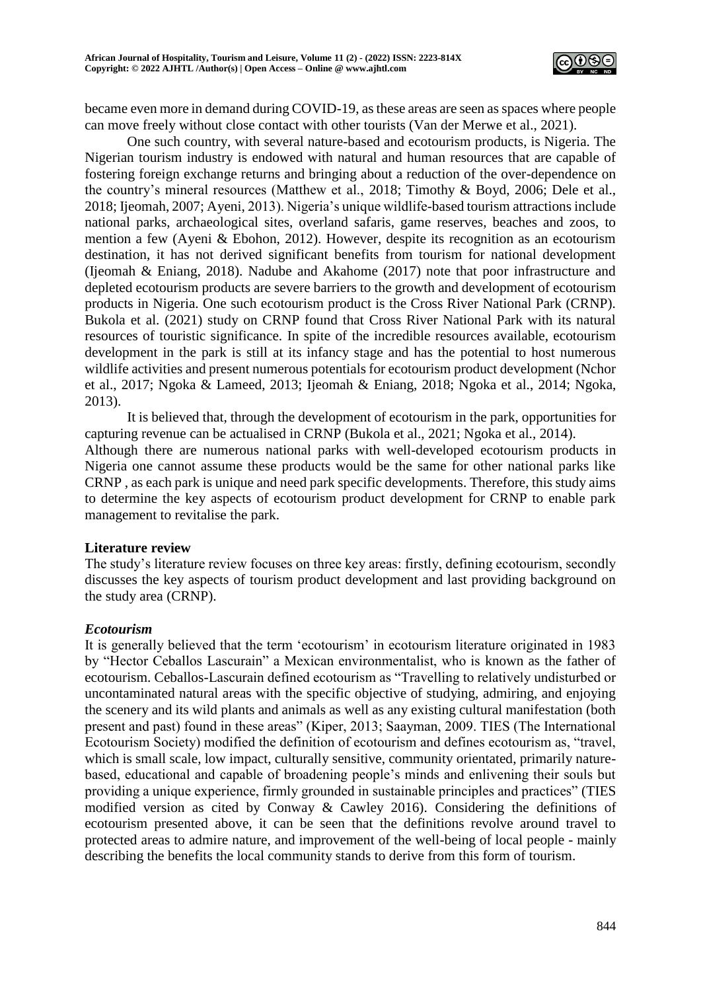

became even more in demand during COVID-19, as these areas are seen as spaces where people can move freely without close contact with other tourists (Van der Merwe et al., 2021).

One such country, with several nature-based and ecotourism products, is Nigeria. The Nigerian tourism industry is endowed with natural and human resources that are capable of fostering foreign exchange returns and bringing about a reduction of the over-dependence on the country's mineral resources (Matthew et al., 2018; Timothy & Boyd, 2006; Dele et al., 2018; Ijeomah, 2007; Ayeni, 2013). Nigeria's unique wildlife-based tourism attractions include national parks, archaeological sites, overland safaris, game reserves, beaches and zoos, to mention a few (Ayeni & Ebohon, 2012). However, despite its recognition as an ecotourism destination, it has not derived significant benefits from tourism for national development (Ijeomah & Eniang, 2018). Nadube and Akahome (2017) note that poor infrastructure and depleted ecotourism products are severe barriers to the growth and development of ecotourism products in Nigeria. One such ecotourism product is the Cross River National Park (CRNP). Bukola et al. (2021) study on CRNP found that Cross River National Park with its natural resources of touristic significance. In spite of the incredible resources available, ecotourism development in the park is still at its infancy stage and has the potential to host numerous wildlife activities and present numerous potentials for ecotourism product development (Nchor et al., 2017; Ngoka & Lameed, 2013; Ijeomah & Eniang, 2018; Ngoka et al., 2014; Ngoka, 2013).

It is believed that, through the development of ecotourism in the park, opportunities for capturing revenue can be actualised in CRNP (Bukola et al., 2021; Ngoka et al., 2014). Although there are numerous national parks with well-developed ecotourism products in Nigeria one cannot assume these products would be the same for other national parks like CRNP , as each park is unique and need park specific developments. Therefore, this study aims to determine the key aspects of ecotourism product development for CRNP to enable park management to revitalise the park.

## **Literature review**

The study's literature review focuses on three key areas: firstly, defining ecotourism, secondly discusses the key aspects of tourism product development and last providing background on the study area (CRNP).

# *Ecotourism*

It is generally believed that the term 'ecotourism' in ecotourism literature originated in 1983 by "Hector Ceballos Lascurain" a Mexican environmentalist, who is known as the father of ecotourism. Ceballos-Lascurain defined ecotourism as "Travelling to relatively undisturbed or uncontaminated natural areas with the specific objective of studying, admiring, and enjoying the scenery and its wild plants and animals as well as any existing cultural manifestation (both present and past) found in these areas" (Kiper, 2013; Saayman, 2009. TIES (The International Ecotourism Society) modified the definition of ecotourism and defines ecotourism as, "travel, which is small scale, low impact, culturally sensitive, community orientated, primarily naturebased, educational and capable of broadening people's minds and enlivening their souls but providing a unique experience, firmly grounded in sustainable principles and practices" (TIES modified version as cited by Conway & Cawley 2016). Considering the definitions of ecotourism presented above, it can be seen that the definitions revolve around travel to protected areas to admire nature, and improvement of the well-being of local people - mainly describing the benefits the local community stands to derive from this form of tourism.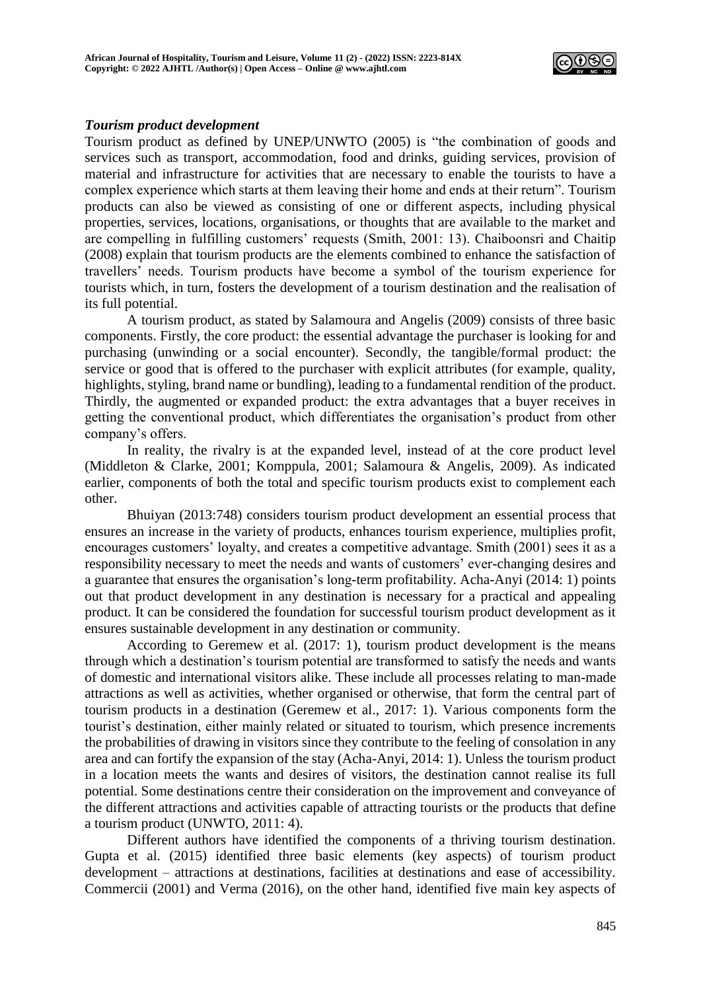

## *Tourism product development*

Tourism product as defined by UNEP/UNWTO (2005) is "the combination of goods and services such as transport, accommodation, food and drinks, guiding services, provision of material and infrastructure for activities that are necessary to enable the tourists to have a complex experience which starts at them leaving their home and ends at their return". Tourism products can also be viewed as consisting of one or different aspects, including physical properties, services, locations, organisations, or thoughts that are available to the market and are compelling in fulfilling customers' requests (Smith, 2001: 13). Chaiboonsri and Chaitip (2008) explain that tourism products are the elements combined to enhance the satisfaction of travellers' needs. Tourism products have become a symbol of the tourism experience for tourists which, in turn, fosters the development of a tourism destination and the realisation of its full potential.

A tourism product, as stated by Salamoura and Angelis (2009) consists of three basic components. Firstly, the core product: the essential advantage the purchaser is looking for and purchasing (unwinding or a social encounter). Secondly, the tangible/formal product: the service or good that is offered to the purchaser with explicit attributes (for example, quality, highlights, styling, brand name or bundling), leading to a fundamental rendition of the product. Thirdly, the augmented or expanded product: the extra advantages that a buyer receives in getting the conventional product, which differentiates the organisation's product from other company's offers.

In reality, the rivalry is at the expanded level, instead of at the core product level (Middleton & Clarke, 2001; Komppula, 2001; Salamoura & Angelis, 2009). As indicated earlier, components of both the total and specific tourism products exist to complement each other.

Bhuiyan (2013:748) considers tourism product development an essential process that ensures an increase in the variety of products, enhances tourism experience, multiplies profit, encourages customers' loyalty, and creates a competitive advantage. Smith (2001) sees it as a responsibility necessary to meet the needs and wants of customers' ever-changing desires and a guarantee that ensures the organisation's long-term profitability. Acha-Anyi (2014: 1) points out that product development in any destination is necessary for a practical and appealing product. It can be considered the foundation for successful tourism product development as it ensures sustainable development in any destination or community.

According to Geremew et al. (2017: 1), tourism product development is the means through which a destination's tourism potential are transformed to satisfy the needs and wants of domestic and international visitors alike. These include all processes relating to man-made attractions as well as activities, whether organised or otherwise, that form the central part of tourism products in a destination (Geremew et al., 2017: 1). Various components form the tourist's destination, either mainly related or situated to tourism, which presence increments the probabilities of drawing in visitors since they contribute to the feeling of consolation in any area and can fortify the expansion of the stay (Acha-Anyi, 2014: 1). Unless the tourism product in a location meets the wants and desires of visitors, the destination cannot realise its full potential. Some destinations centre their consideration on the improvement and conveyance of the different attractions and activities capable of attracting tourists or the products that define a tourism product (UNWTO, 2011: 4).

Different authors have identified the components of a thriving tourism destination. Gupta et al. (2015) identified three basic elements (key aspects) of tourism product development – attractions at destinations, facilities at destinations and ease of accessibility. Commercii (2001) and Verma (2016), on the other hand, identified five main key aspects of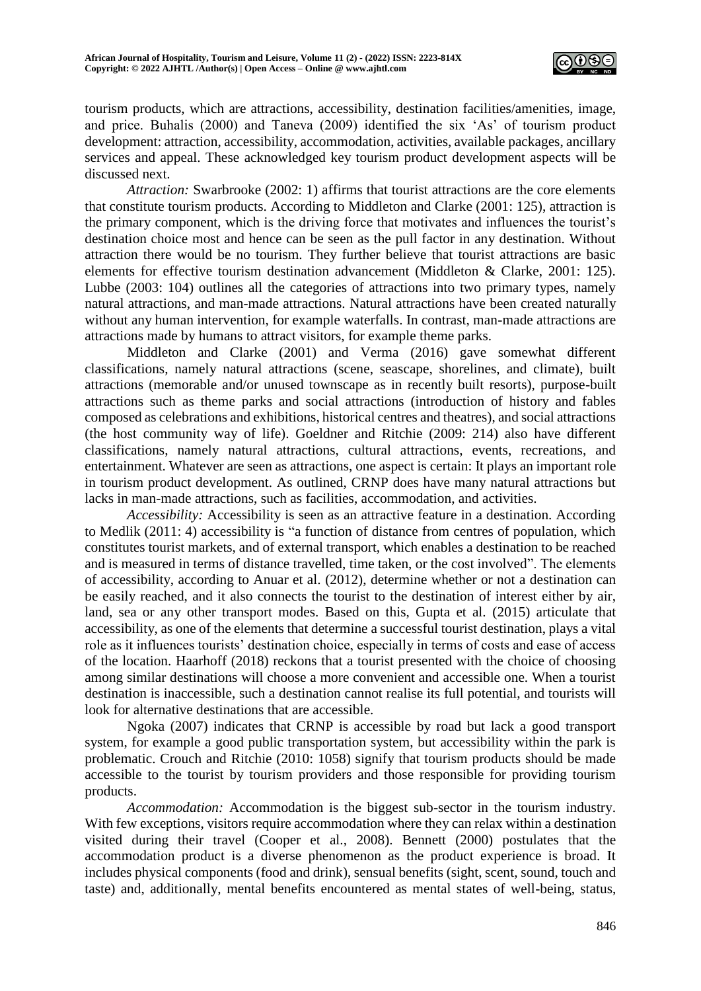

tourism products, which are attractions, accessibility, destination facilities/amenities, image, and price. Buhalis (2000) and Taneva (2009) identified the six 'As' of tourism product development: attraction, accessibility, accommodation, activities, available packages, ancillary services and appeal. These acknowledged key tourism product development aspects will be discussed next.

*Attraction:* Swarbrooke (2002: 1) affirms that tourist attractions are the core elements that constitute tourism products. According to Middleton and Clarke (2001: 125), attraction is the primary component, which is the driving force that motivates and influences the tourist's destination choice most and hence can be seen as the pull factor in any destination. Without attraction there would be no tourism. They further believe that tourist attractions are basic elements for effective tourism destination advancement (Middleton & Clarke, 2001: 125). Lubbe (2003: 104) outlines all the categories of attractions into two primary types, namely natural attractions, and man-made attractions. Natural attractions have been created naturally without any human intervention, for example waterfalls. In contrast, man-made attractions are attractions made by humans to attract visitors, for example theme parks.

Middleton and Clarke (2001) and Verma (2016) gave somewhat different classifications, namely natural attractions (scene, seascape, shorelines, and climate), built attractions (memorable and/or unused townscape as in recently built resorts), purpose-built attractions such as theme parks and social attractions (introduction of history and fables composed as celebrations and exhibitions, historical centres and theatres), and social attractions (the host community way of life). Goeldner and Ritchie (2009: 214) also have different classifications, namely natural attractions, cultural attractions, events, recreations, and entertainment. Whatever are seen as attractions, one aspect is certain: It plays an important role in tourism product development. As outlined, CRNP does have many natural attractions but lacks in man-made attractions, such as facilities, accommodation, and activities.

*Accessibility:* Accessibility is seen as an attractive feature in a destination. According to Medlik (2011: 4) accessibility is "a function of distance from centres of population, which constitutes tourist markets, and of external transport, which enables a destination to be reached and is measured in terms of distance travelled, time taken, or the cost involved". The elements of accessibility, according to Anuar et al. (2012), determine whether or not a destination can be easily reached, and it also connects the tourist to the destination of interest either by air, land, sea or any other transport modes. Based on this, Gupta et al. (2015) articulate that accessibility, as one of the elements that determine a successful tourist destination, plays a vital role as it influences tourists' destination choice, especially in terms of costs and ease of access of the location. Haarhoff (2018) reckons that a tourist presented with the choice of choosing among similar destinations will choose a more convenient and accessible one. When a tourist destination is inaccessible, such a destination cannot realise its full potential, and tourists will look for alternative destinations that are accessible.

Ngoka (2007) indicates that CRNP is accessible by road but lack a good transport system, for example a good public transportation system, but accessibility within the park is problematic. Crouch and Ritchie (2010: 1058) signify that tourism products should be made accessible to the tourist by tourism providers and those responsible for providing tourism products.

*Accommodation:* Accommodation is the biggest sub-sector in the tourism industry. With few exceptions, visitors require accommodation where they can relax within a destination visited during their travel (Cooper et al., 2008). Bennett (2000) postulates that the accommodation product is a diverse phenomenon as the product experience is broad. It includes physical components (food and drink), sensual benefits (sight, scent, sound, touch and taste) and, additionally, mental benefits encountered as mental states of well-being, status,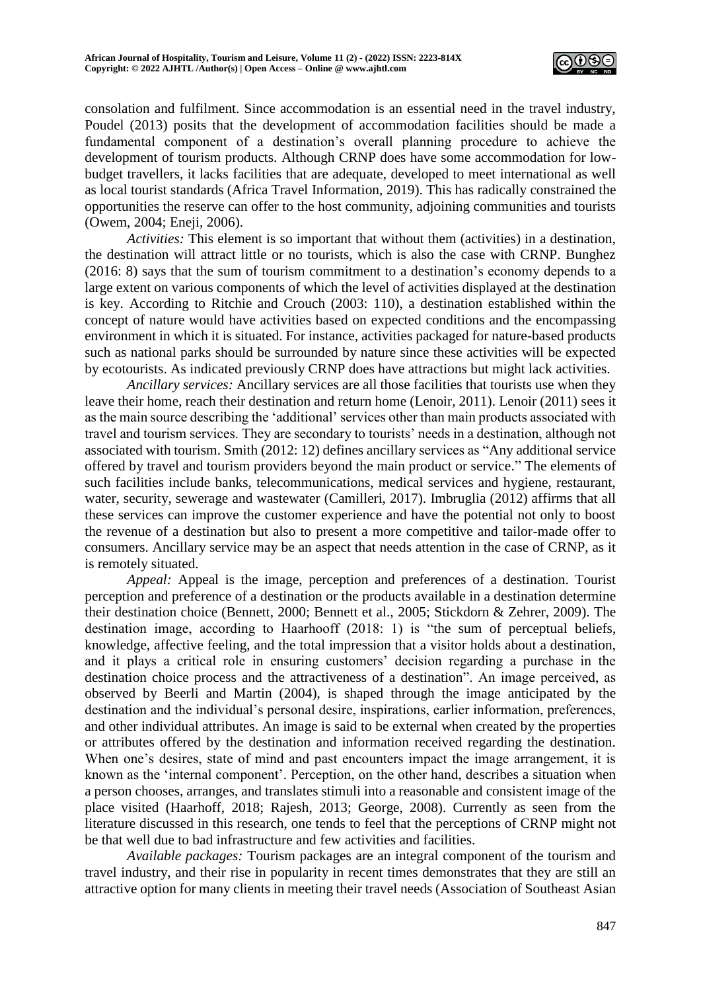

consolation and fulfilment. Since accommodation is an essential need in the travel industry, Poudel (2013) posits that the development of accommodation facilities should be made a fundamental component of a destination's overall planning procedure to achieve the development of tourism products. Although CRNP does have some accommodation for lowbudget travellers, it lacks facilities that are adequate, developed to meet international as well as local tourist standards (Africa Travel Information, 2019). This has radically constrained the opportunities the reserve can offer to the host community, adjoining communities and tourists (Owem, 2004; Eneji, 2006).

*Activities:* This element is so important that without them (activities) in a destination, the destination will attract little or no tourists, which is also the case with CRNP. Bunghez (2016: 8) says that the sum of tourism commitment to a destination's economy depends to a large extent on various components of which the level of activities displayed at the destination is key. According to Ritchie and Crouch (2003: 110), a destination established within the concept of nature would have activities based on expected conditions and the encompassing environment in which it is situated. For instance, activities packaged for nature-based products such as national parks should be surrounded by nature since these activities will be expected by ecotourists. As indicated previously CRNP does have attractions but might lack activities.

*Ancillary services:* Ancillary services are all those facilities that tourists use when they leave their home, reach their destination and return home (Lenoir, 2011). Lenoir (2011) sees it as the main source describing the 'additional' services other than main products associated with travel and tourism services. They are secondary to tourists' needs in a destination, although not associated with tourism. Smith (2012: 12) defines ancillary services as "Any additional service offered by travel and tourism providers beyond the main product or service." The elements of such facilities include banks, telecommunications, medical services and hygiene, restaurant, water, security, sewerage and wastewater (Camilleri, 2017). Imbruglia (2012) affirms that all these services can improve the customer experience and have the potential not only to boost the revenue of a destination but also to present a more competitive and tailor-made offer to consumers. Ancillary service may be an aspect that needs attention in the case of CRNP, as it is remotely situated.

*Appeal:* Appeal is the image, perception and preferences of a destination. Tourist perception and preference of a destination or the products available in a destination determine their destination choice (Bennett, 2000; Bennett et al., 2005; Stickdorn & Zehrer, 2009). The destination image, according to Haarhooff (2018: 1) is "the sum of perceptual beliefs, knowledge, affective feeling, and the total impression that a visitor holds about a destination, and it plays a critical role in ensuring customers' decision regarding a purchase in the destination choice process and the attractiveness of a destination". An image perceived, as observed by Beerli and Martin (2004), is shaped through the image anticipated by the destination and the individual's personal desire, inspirations, earlier information, preferences, and other individual attributes. An image is said to be external when created by the properties or attributes offered by the destination and information received regarding the destination. When one's desires, state of mind and past encounters impact the image arrangement, it is known as the 'internal component'. Perception, on the other hand, describes a situation when a person chooses, arranges, and translates stimuli into a reasonable and consistent image of the place visited (Haarhoff, 2018; Rajesh, 2013; George, 2008). Currently as seen from the literature discussed in this research, one tends to feel that the perceptions of CRNP might not be that well due to bad infrastructure and few activities and facilities.

*Available packages:* Tourism packages are an integral component of the tourism and travel industry, and their rise in popularity in recent times demonstrates that they are still an attractive option for many clients in meeting their travel needs (Association of Southeast Asian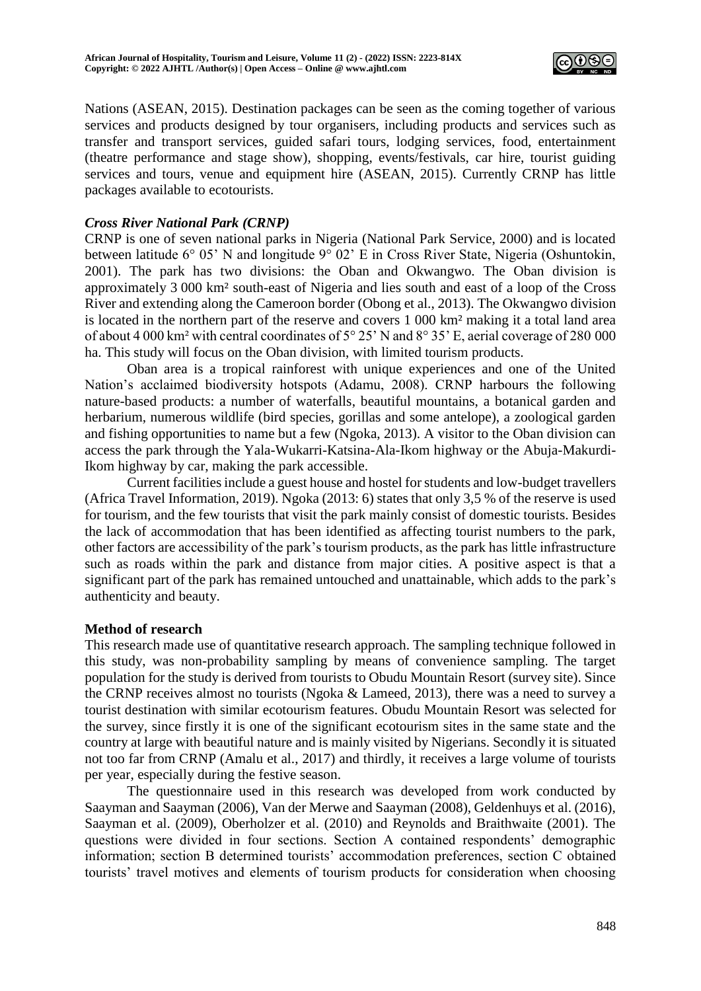

Nations (ASEAN, 2015). Destination packages can be seen as the coming together of various services and products designed by tour organisers, including products and services such as transfer and transport services, guided safari tours, lodging services, food, entertainment (theatre performance and stage show), shopping, events/festivals, car hire, tourist guiding services and tours, venue and equipment hire (ASEAN, 2015). Currently CRNP has little packages available to ecotourists.

# *Cross River National Park (CRNP)*

CRNP is one of seven national parks in Nigeria (National Park Service, 2000) and is located between latitude 6° 05' N and longitude 9° 02' E in Cross River State, Nigeria (Oshuntokin, 2001). The park has two divisions: the Oban and Okwangwo. The Oban division is approximately 3 000 km² south-east of Nigeria and lies south and east of a loop of the Cross River and extending along the Cameroon border (Obong et al., 2013). The Okwangwo division is located in the northern part of the reserve and covers 1 000 km² making it a total land area of about 4 000 km² with central coordinates of 5° 25' N and 8° 35' E, aerial coverage of 280 000 ha. This study will focus on the Oban division, with limited tourism products.

Oban area is a tropical rainforest with unique experiences and one of the United Nation's acclaimed biodiversity hotspots (Adamu, 2008). CRNP harbours the following nature-based products: a number of waterfalls, beautiful mountains, a botanical garden and herbarium, numerous wildlife (bird species, gorillas and some antelope), a zoological garden and fishing opportunities to name but a few (Ngoka, 2013). A visitor to the Oban division can access the park through the Yala-Wukarri-Katsina-Ala-Ikom highway or the Abuja-Makurdi-Ikom highway by car, making the park accessible.

Current facilities include a guest house and hostel for students and low-budget travellers (Africa Travel Information, 2019). Ngoka (2013: 6) states that only 3,5 % of the reserve is used for tourism, and the few tourists that visit the park mainly consist of domestic tourists. Besides the lack of accommodation that has been identified as affecting tourist numbers to the park, other factors are accessibility of the park's tourism products, as the park has little infrastructure such as roads within the park and distance from major cities. A positive aspect is that a significant part of the park has remained untouched and unattainable, which adds to the park's authenticity and beauty.

# **Method of research**

This research made use of quantitative research approach. The sampling technique followed in this study, was non-probability sampling by means of convenience sampling. The target population for the study is derived from tourists to Obudu Mountain Resort (survey site). Since the CRNP receives almost no tourists (Ngoka & Lameed, 2013), there was a need to survey a tourist destination with similar ecotourism features. Obudu Mountain Resort was selected for the survey, since firstly it is one of the significant ecotourism sites in the same state and the country at large with beautiful nature and is mainly visited by Nigerians. Secondly it is situated not too far from CRNP (Amalu et al., 2017) and thirdly, it receives a large volume of tourists per year, especially during the festive season.

The questionnaire used in this research was developed from work conducted by Saayman and Saayman (2006), Van der Merwe and Saayman (2008), Geldenhuys et al. (2016), Saayman et al. (2009), Oberholzer et al. (2010) and Reynolds and Braithwaite (2001). The questions were divided in four sections. Section A contained respondents' demographic information; section B determined tourists' accommodation preferences, section C obtained tourists' travel motives and elements of tourism products for consideration when choosing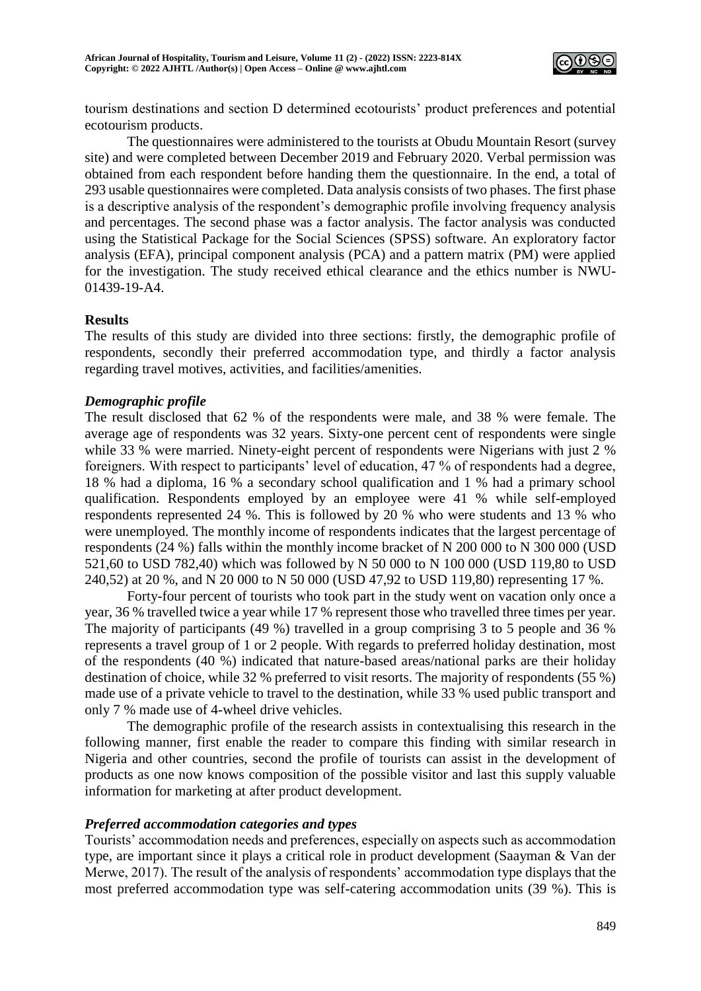

tourism destinations and section D determined ecotourists' product preferences and potential ecotourism products.

The questionnaires were administered to the tourists at Obudu Mountain Resort (survey site) and were completed between December 2019 and February 2020. Verbal permission was obtained from each respondent before handing them the questionnaire. In the end, a total of 293 usable questionnaires were completed. Data analysis consists of two phases. The first phase is a descriptive analysis of the respondent's demographic profile involving frequency analysis and percentages. The second phase was a factor analysis. The factor analysis was conducted using the Statistical Package for the Social Sciences (SPSS) software. An exploratory factor analysis (EFA), principal component analysis (PCA) and a pattern matrix (PM) were applied for the investigation. The study received ethical clearance and the ethics number is NWU-01439-19-A4.

# **Results**

The results of this study are divided into three sections: firstly, the demographic profile of respondents, secondly their preferred accommodation type, and thirdly a factor analysis regarding travel motives, activities, and facilities/amenities.

## *Demographic profile*

The result disclosed that 62 % of the respondents were male, and 38 % were female. The average age of respondents was 32 years. Sixty-one percent cent of respondents were single while 33 % were married. Ninety-eight percent of respondents were Nigerians with just 2 % foreigners. With respect to participants' level of education, 47 % of respondents had a degree, 18 % had a diploma, 16 % a secondary school qualification and 1 % had a primary school qualification. Respondents employed by an employee were 41 % while self-employed respondents represented 24 %. This is followed by 20 % who were students and 13 % who were unemployed. The monthly income of respondents indicates that the largest percentage of respondents (24 %) falls within the monthly income bracket of N 200 000 to N 300 000 (USD 521,60 to USD 782,40) which was followed by N 50 000 to N 100 000 (USD 119,80 to USD 240,52) at 20 %, and N 20 000 to N 50 000 (USD 47,92 to USD 119,80) representing 17 %.

Forty-four percent of tourists who took part in the study went on vacation only once a year, 36 % travelled twice a year while 17 % represent those who travelled three times per year. The majority of participants (49 %) travelled in a group comprising 3 to 5 people and 36 % represents a travel group of 1 or 2 people. With regards to preferred holiday destination, most of the respondents (40 %) indicated that nature-based areas/national parks are their holiday destination of choice, while 32 % preferred to visit resorts. The majority of respondents (55 %) made use of a private vehicle to travel to the destination, while 33 % used public transport and only 7 % made use of 4-wheel drive vehicles.

The demographic profile of the research assists in contextualising this research in the following manner, first enable the reader to compare this finding with similar research in Nigeria and other countries, second the profile of tourists can assist in the development of products as one now knows composition of the possible visitor and last this supply valuable information for marketing at after product development.

## *Preferred accommodation categories and types*

Tourists' accommodation needs and preferences, especially on aspects such as accommodation type, are important since it plays a critical role in product development (Saayman & Van der Merwe, 2017). The result of the analysis of respondents' accommodation type displays that the most preferred accommodation type was self-catering accommodation units (39 %). This is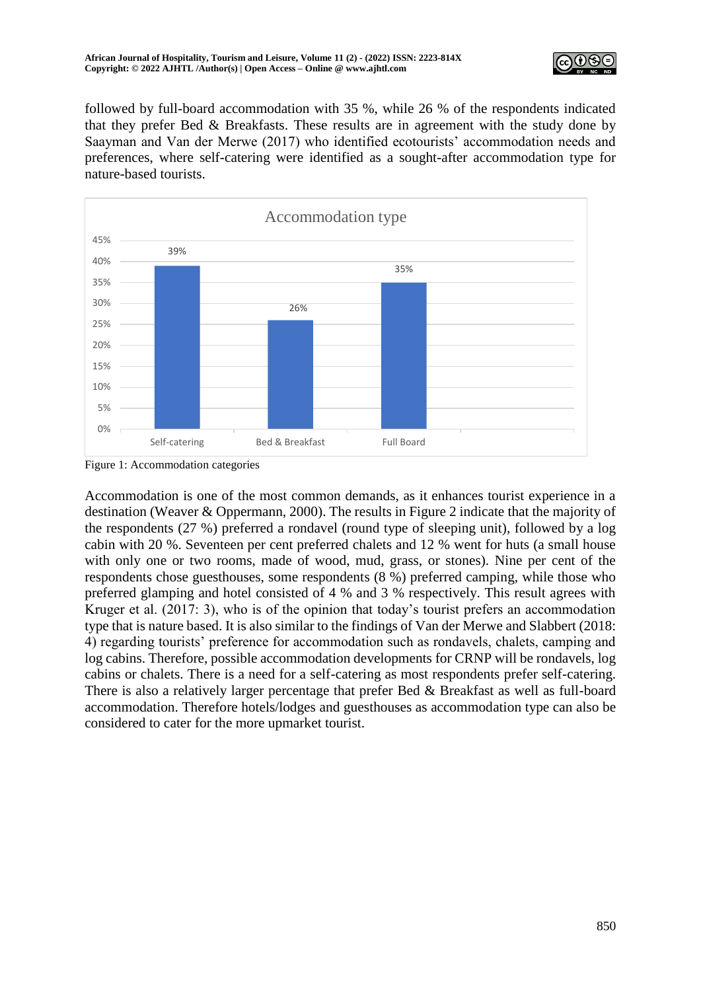

followed by full-board accommodation with 35 %, while 26 % of the respondents indicated that they prefer Bed & Breakfasts. These results are in agreement with the study done by Saayman and Van der Merwe (2017) who identified ecotourists' accommodation needs and preferences, where self-catering were identified as a sought-after accommodation type for nature-based tourists.



Figure 1: Accommodation categories

Accommodation is one of the most common demands, as it enhances tourist experience in a destination (Weaver & Oppermann, 2000). The results in Figure 2 indicate that the majority of the respondents (27 %) preferred a rondavel (round type of sleeping unit), followed by a log cabin with 20 %. Seventeen per cent preferred chalets and 12 % went for huts (a small house with only one or two rooms, made of wood, mud, grass, or stones). Nine per cent of the respondents chose guesthouses, some respondents (8 %) preferred camping, while those who preferred glamping and hotel consisted of 4 % and 3 % respectively. This result agrees with Kruger et al. (2017: 3), who is of the opinion that today's tourist prefers an accommodation type that is nature based. It is also similar to the findings of Van der Merwe and Slabbert (2018: 4) regarding tourists' preference for accommodation such as rondavels, chalets, camping and log cabins. Therefore, possible accommodation developments for CRNP will be rondavels, log cabins or chalets. There is a need for a self-catering as most respondents prefer self-catering. There is also a relatively larger percentage that prefer Bed & Breakfast as well as full-board accommodation. Therefore hotels/lodges and guesthouses as accommodation type can also be considered to cater for the more upmarket tourist.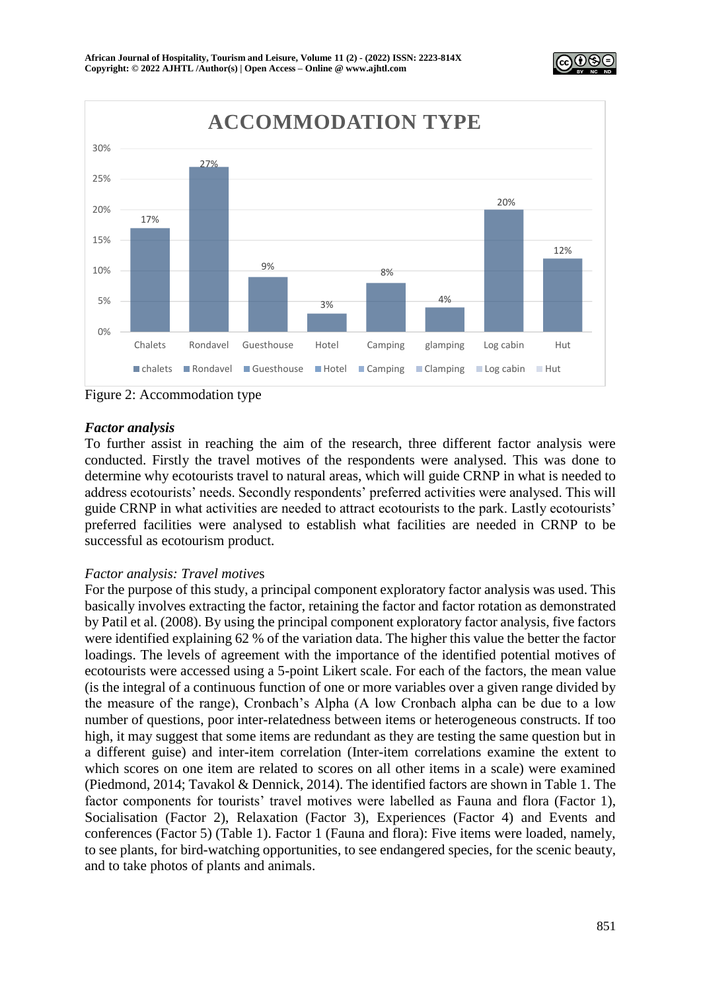



Figure 2: Accommodation type

# *Factor analysis*

To further assist in reaching the aim of the research, three different factor analysis were conducted. Firstly the travel motives of the respondents were analysed. This was done to determine why ecotourists travel to natural areas, which will guide CRNP in what is needed to address ecotourists' needs. Secondly respondents' preferred activities were analysed. This will guide CRNP in what activities are needed to attract ecotourists to the park. Lastly ecotourists' preferred facilities were analysed to establish what facilities are needed in CRNP to be successful as ecotourism product.

# *Factor analysis: Travel motive*s

For the purpose of this study, a principal component exploratory factor analysis was used. This basically involves extracting the factor, retaining the factor and factor rotation as demonstrated by Patil et al. (2008). By using the principal component exploratory factor analysis, five factors were identified explaining 62 % of the variation data. The higher this value the better the factor loadings. The levels of agreement with the importance of the identified potential motives of ecotourists were accessed using a 5-point Likert scale. For each of the factors, the mean value (is the integral of a continuous function of one or more variables over a given range divided by the measure of the range), Cronbach's Alpha (A low Cronbach alpha can be due to a low number of questions, poor inter-relatedness between items or heterogeneous constructs. If too high, it may suggest that some items are redundant as they are testing the same question but in a different guise) and inter-item correlation (Inter-item correlations examine the extent to which scores on one item are related to scores on all other items in a scale) were examined (Piedmond, 2014; Tavakol & Dennick, 2014). The identified factors are shown in Table 1. The factor components for tourists' travel motives were labelled as Fauna and flora (Factor 1), Socialisation (Factor 2), Relaxation (Factor 3), Experiences (Factor 4) and Events and conferences (Factor 5) (Table 1). Factor 1 (Fauna and flora): Five items were loaded, namely, to see plants, for bird-watching opportunities, to see endangered species, for the scenic beauty, and to take photos of plants and animals.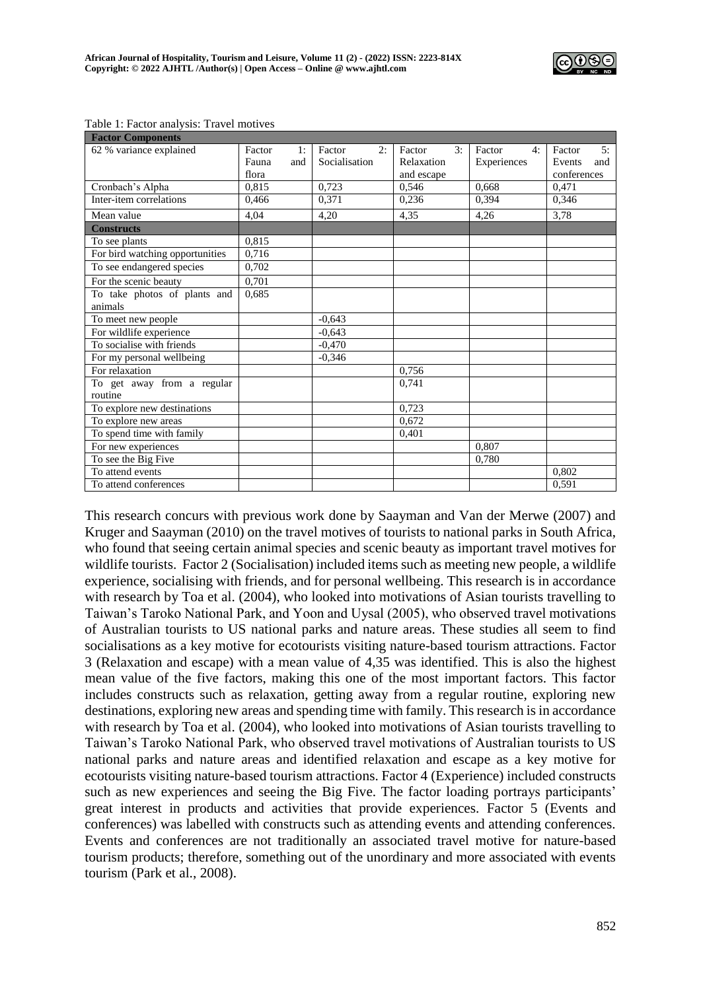

| <b>Factor Components</b>        |        |     |               |    |            |    |             |    |             |     |
|---------------------------------|--------|-----|---------------|----|------------|----|-------------|----|-------------|-----|
| 62 % variance explained         | Factor | 1:  | Factor        | 2: | Factor     | 3: | Factor      | 4: | Factor      | 5:  |
|                                 | Fauna  | and | Socialisation |    | Relaxation |    | Experiences |    | Events      | and |
|                                 | flora  |     |               |    | and escape |    |             |    | conferences |     |
| Cronbach's Alpha                | 0,815  |     | 0,723         |    | 0,546      |    | 0,668       |    | 0,471       |     |
| Inter-item correlations         | 0,466  |     | 0.371         |    | 0,236      |    | 0,394       |    | 0,346       |     |
| Mean value                      | 4.04   |     | 4,20          |    | 4,35       |    | 4,26        |    | 3,78        |     |
| <b>Constructs</b>               |        |     |               |    |            |    |             |    |             |     |
| To see plants                   | 0,815  |     |               |    |            |    |             |    |             |     |
| For bird watching opportunities | 0,716  |     |               |    |            |    |             |    |             |     |
| To see endangered species       | 0,702  |     |               |    |            |    |             |    |             |     |
| For the scenic beauty           | 0,701  |     |               |    |            |    |             |    |             |     |
| To take photos of plants and    | 0,685  |     |               |    |            |    |             |    |             |     |
| animals                         |        |     |               |    |            |    |             |    |             |     |
| To meet new people              |        |     | $-0.643$      |    |            |    |             |    |             |     |
| For wildlife experience         |        |     | $-0.643$      |    |            |    |             |    |             |     |
| To socialise with friends       |        |     | $-0,470$      |    |            |    |             |    |             |     |
| For my personal wellbeing       |        |     | $-0,346$      |    |            |    |             |    |             |     |
| For relaxation                  |        |     |               |    | 0,756      |    |             |    |             |     |
| To get away from a regular      |        |     |               |    | 0,741      |    |             |    |             |     |
| routine                         |        |     |               |    |            |    |             |    |             |     |
| To explore new destinations     |        |     |               |    | 0,723      |    |             |    |             |     |
| To explore new areas            |        |     |               |    | 0,672      |    |             |    |             |     |
| To spend time with family       |        |     |               |    | 0,401      |    |             |    |             |     |
| For new experiences             |        |     |               |    |            |    | 0.807       |    |             |     |
| To see the Big Five             |        |     |               |    |            |    | 0,780       |    |             |     |
| To attend events                |        |     |               |    |            |    |             |    | 0,802       |     |
| To attend conferences           |        |     |               |    |            |    |             |    | 0.591       |     |

Table 1: Factor analysis: Travel motives

This research concurs with previous work done by Saayman and Van der Merwe (2007) and Kruger and Saayman (2010) on the travel motives of tourists to national parks in South Africa, who found that seeing certain animal species and scenic beauty as important travel motives for wildlife tourists. Factor 2 (Socialisation) included items such as meeting new people, a wildlife experience, socialising with friends, and for personal wellbeing. This research is in accordance with research by Toa et al. (2004), who looked into motivations of Asian tourists travelling to Taiwan's Taroko National Park, and Yoon and Uysal (2005), who observed travel motivations of Australian tourists to US national parks and nature areas. These studies all seem to find socialisations as a key motive for ecotourists visiting nature-based tourism attractions. Factor 3 (Relaxation and escape) with a mean value of 4,35 was identified. This is also the highest mean value of the five factors, making this one of the most important factors. This factor includes constructs such as relaxation, getting away from a regular routine, exploring new destinations, exploring new areas and spending time with family. This research is in accordance with research by Toa et al. (2004), who looked into motivations of Asian tourists travelling to Taiwan's Taroko National Park, who observed travel motivations of Australian tourists to US national parks and nature areas and identified relaxation and escape as a key motive for ecotourists visiting nature-based tourism attractions. Factor 4 (Experience) included constructs such as new experiences and seeing the Big Five. The factor loading portrays participants' great interest in products and activities that provide experiences. Factor 5 (Events and conferences) was labelled with constructs such as attending events and attending conferences. Events and conferences are not traditionally an associated travel motive for nature-based tourism products; therefore, something out of the unordinary and more associated with events tourism (Park et al., 2008).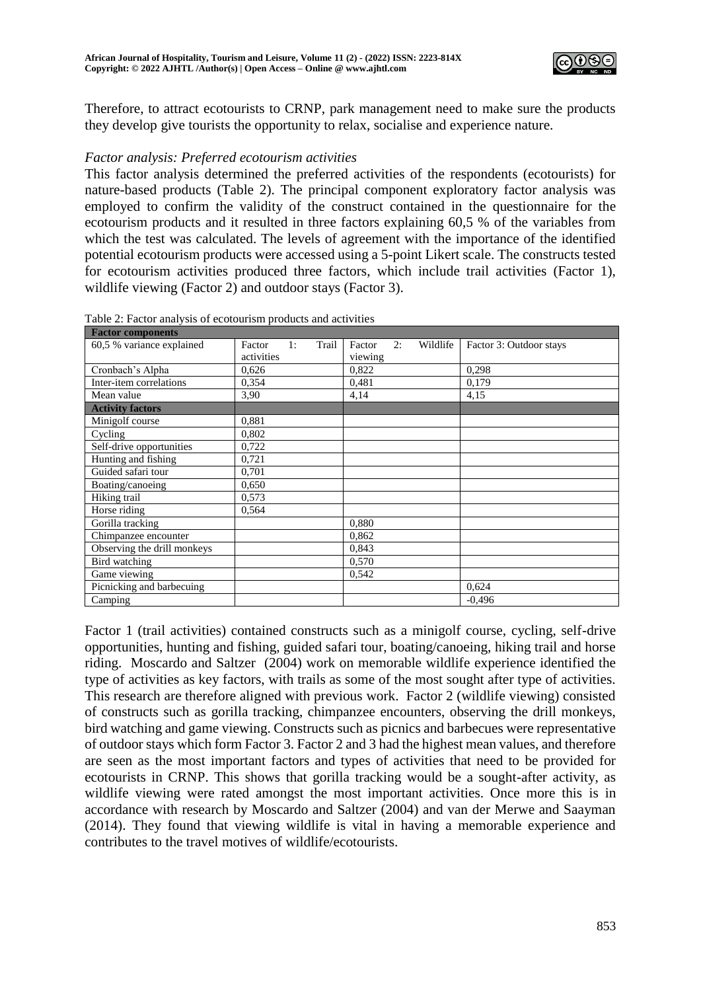

Therefore, to attract ecotourists to CRNP, park management need to make sure the products they develop give tourists the opportunity to relax, socialise and experience nature.

## *Factor analysis: Preferred ecotourism activities*

This factor analysis determined the preferred activities of the respondents (ecotourists) for nature-based products (Table 2). The principal component exploratory factor analysis was employed to confirm the validity of the construct contained in the questionnaire for the ecotourism products and it resulted in three factors explaining 60,5 % of the variables from which the test was calculated. The levels of agreement with the importance of the identified potential ecotourism products were accessed using a 5-point Likert scale. The constructs tested for ecotourism activities produced three factors, which include trail activities (Factor 1), wildlife viewing (Factor 2) and outdoor stays (Factor 3).

| <b>Factor components</b>    |            |    |       |         |    |          |                         |
|-----------------------------|------------|----|-------|---------|----|----------|-------------------------|
| 60,5 % variance explained   | Factor     | 1: | Trail | Factor  | 2: | Wildlife | Factor 3: Outdoor stays |
|                             | activities |    |       | viewing |    |          |                         |
| Cronbach's Alpha            | 0,626      |    |       | 0,822   |    |          | 0,298                   |
| Inter-item correlations     | 0,354      |    |       | 0,481   |    |          | 0,179                   |
| Mean value                  | 3,90       |    |       | 4,14    |    |          | 4,15                    |
| <b>Activity factors</b>     |            |    |       |         |    |          |                         |
| Minigolf course             | 0,881      |    |       |         |    |          |                         |
| Cycling                     | 0,802      |    |       |         |    |          |                         |
| Self-drive opportunities    | 0,722      |    |       |         |    |          |                         |
| Hunting and fishing         | 0.721      |    |       |         |    |          |                         |
| Guided safari tour          | 0,701      |    |       |         |    |          |                         |
| Boating/canoeing            | 0,650      |    |       |         |    |          |                         |
| Hiking trail                | 0,573      |    |       |         |    |          |                         |
| Horse riding                | 0,564      |    |       |         |    |          |                         |
| Gorilla tracking            |            |    |       | 0.880   |    |          |                         |
| Chimpanzee encounter        |            |    |       | 0,862   |    |          |                         |
| Observing the drill monkeys |            |    |       | 0,843   |    |          |                         |
| Bird watching               |            |    |       | 0,570   |    |          |                         |
| Game viewing                |            |    |       | 0,542   |    |          |                         |
| Picnicking and barbecuing   |            |    |       |         |    |          | 0,624                   |
| Camping                     |            |    |       |         |    |          | $-0.496$                |

Table 2: Factor analysis of ecotourism products and activities

Factor 1 (trail activities) contained constructs such as a minigolf course, cycling, self-drive opportunities, hunting and fishing, guided safari tour, boating/canoeing, hiking trail and horse riding. Moscardo and Saltzer (2004) work on memorable wildlife experience identified the type of activities as key factors, with trails as some of the most sought after type of activities. This research are therefore aligned with previous work. Factor 2 (wildlife viewing) consisted of constructs such as gorilla tracking, chimpanzee encounters, observing the drill monkeys, bird watching and game viewing. Constructs such as picnics and barbecues were representative of outdoor stays which form Factor 3. Factor 2 and 3 had the highest mean values, and therefore are seen as the most important factors and types of activities that need to be provided for ecotourists in CRNP. This shows that gorilla tracking would be a sought-after activity, as wildlife viewing were rated amongst the most important activities. Once more this is in accordance with research by Moscardo and Saltzer (2004) and van der Merwe and Saayman (2014). They found that viewing wildlife is vital in having a memorable experience and contributes to the travel motives of wildlife/ecotourists.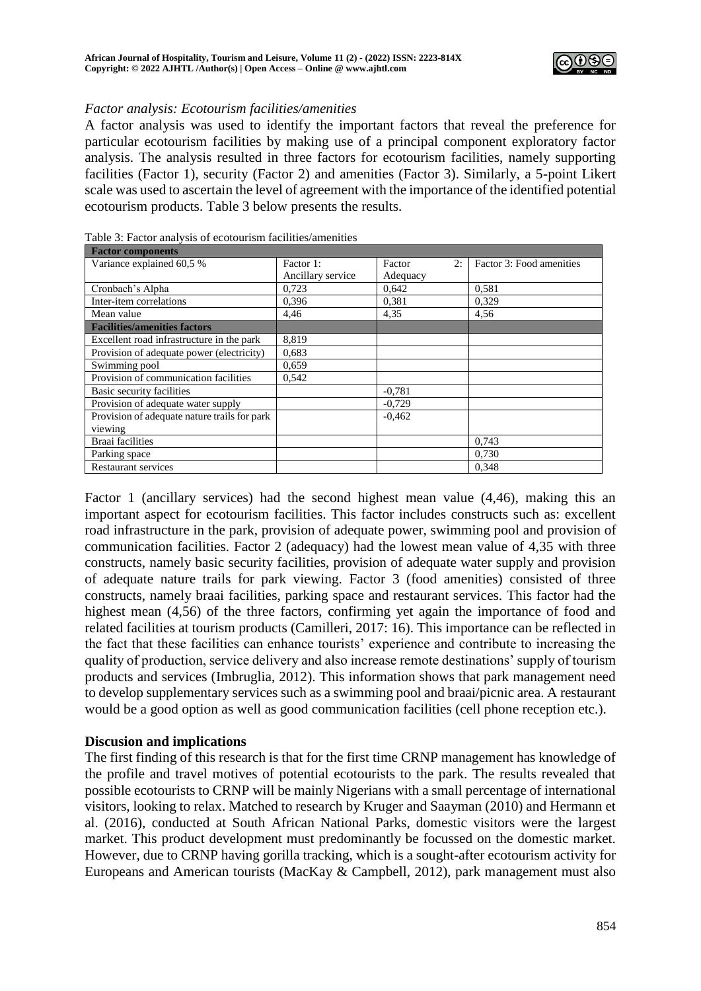

## *Factor analysis: Ecotourism facilities/amenities*

A factor analysis was used to identify the important factors that reveal the preference for particular ecotourism facilities by making use of a principal component exploratory factor analysis. The analysis resulted in three factors for ecotourism facilities, namely supporting facilities (Factor 1), security (Factor 2) and amenities (Factor 3). Similarly, a 5-point Likert scale was used to ascertain the level of agreement with the importance of the identified potential ecotourism products. Table 3 below presents the results.

| <b>Factor components</b>                     |                   |              |                          |
|----------------------------------------------|-------------------|--------------|--------------------------|
| Variance explained 60,5 %                    | Factor 1:         | 2:<br>Factor | Factor 3: Food amenities |
|                                              | Ancillary service | Adequacy     |                          |
| Cronbach's Alpha                             | 0.723             | 0.642        | 0.581                    |
| Inter-item correlations                      | 0,396             | 0,381        | 0,329                    |
| Mean value                                   | 4,46              | 4,35         | 4,56                     |
| <b>Facilities/amenities factors</b>          |                   |              |                          |
| Excellent road infrastructure in the park    | 8,819             |              |                          |
| Provision of adequate power (electricity)    | 0,683             |              |                          |
| Swimming pool                                | 0.659             |              |                          |
| Provision of communication facilities        | 0.542             |              |                          |
| Basic security facilities                    |                   | $-0,781$     |                          |
| Provision of adequate water supply           |                   | $-0.729$     |                          |
| Provision of adequate nature trails for park |                   | $-0.462$     |                          |
| viewing                                      |                   |              |                          |
| <b>Braai</b> facilities                      |                   |              | 0.743                    |
| Parking space                                |                   |              | 0,730                    |
| <b>Restaurant services</b>                   |                   |              | 0.348                    |

Table 3: Factor analysis of ecotourism facilities/amenities

Factor 1 (ancillary services) had the second highest mean value (4,46), making this an important aspect for ecotourism facilities. This factor includes constructs such as: excellent road infrastructure in the park, provision of adequate power, swimming pool and provision of communication facilities. Factor 2 (adequacy) had the lowest mean value of 4,35 with three constructs, namely basic security facilities, provision of adequate water supply and provision of adequate nature trails for park viewing. Factor 3 (food amenities) consisted of three constructs, namely braai facilities, parking space and restaurant services. This factor had the highest mean (4,56) of the three factors, confirming yet again the importance of food and related facilities at tourism products (Camilleri, 2017: 16). This importance can be reflected in the fact that these facilities can enhance tourists' experience and contribute to increasing the quality of production, service delivery and also increase remote destinations' supply of tourism products and services (Imbruglia, 2012). This information shows that park management need to develop supplementary services such as a swimming pool and braai/picnic area. A restaurant would be a good option as well as good communication facilities (cell phone reception etc.).

## **Discusion and implications**

The first finding of this research is that for the first time CRNP management has knowledge of the profile and travel motives of potential ecotourists to the park. The results revealed that possible ecotourists to CRNP will be mainly Nigerians with a small percentage of international visitors, looking to relax. Matched to research by Kruger and Saayman (2010) and Hermann et al. (2016), conducted at South African National Parks, domestic visitors were the largest market. This product development must predominantly be focussed on the domestic market. However, due to CRNP having gorilla tracking, which is a sought-after ecotourism activity for Europeans and American tourists (MacKay & Campbell, 2012), park management must also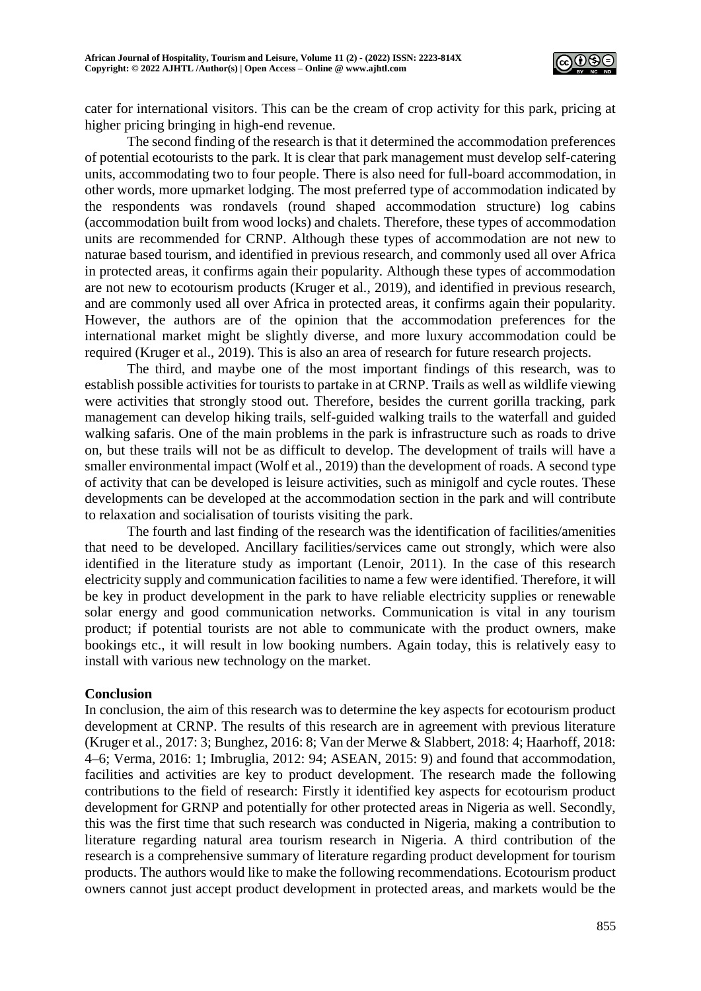

cater for international visitors. This can be the cream of crop activity for this park, pricing at higher pricing bringing in high-end revenue.

The second finding of the research is that it determined the accommodation preferences of potential ecotourists to the park. It is clear that park management must develop self-catering units, accommodating two to four people. There is also need for full-board accommodation, in other words, more upmarket lodging. The most preferred type of accommodation indicated by the respondents was rondavels (round shaped accommodation structure) log cabins (accommodation built from wood locks) and chalets. Therefore, these types of accommodation units are recommended for CRNP. Although these types of accommodation are not new to naturae based tourism, and identified in previous research, and commonly used all over Africa in protected areas, it confirms again their popularity. Although these types of accommodation are not new to ecotourism products (Kruger et al., 2019), and identified in previous research, and are commonly used all over Africa in protected areas, it confirms again their popularity. However, the authors are of the opinion that the accommodation preferences for the international market might be slightly diverse, and more luxury accommodation could be required (Kruger et al., 2019). This is also an area of research for future research projects.

The third, and maybe one of the most important findings of this research, was to establish possible activities for tourists to partake in at CRNP. Trails as well as wildlife viewing were activities that strongly stood out. Therefore, besides the current gorilla tracking, park management can develop hiking trails, self-guided walking trails to the waterfall and guided walking safaris. One of the main problems in the park is infrastructure such as roads to drive on, but these trails will not be as difficult to develop. The development of trails will have a smaller environmental impact (Wolf et al., 2019) than the development of roads. A second type of activity that can be developed is leisure activities, such as minigolf and cycle routes. These developments can be developed at the accommodation section in the park and will contribute to relaxation and socialisation of tourists visiting the park.

The fourth and last finding of the research was the identification of facilities/amenities that need to be developed. Ancillary facilities/services came out strongly, which were also identified in the literature study as important (Lenoir, 2011). In the case of this research electricity supply and communication facilities to name a few were identified. Therefore, it will be key in product development in the park to have reliable electricity supplies or renewable solar energy and good communication networks. Communication is vital in any tourism product; if potential tourists are not able to communicate with the product owners, make bookings etc., it will result in low booking numbers. Again today, this is relatively easy to install with various new technology on the market.

## **Conclusion**

In conclusion, the aim of this research was to determine the key aspects for ecotourism product development at CRNP. The results of this research are in agreement with previous literature (Kruger et al., 2017: 3; Bunghez, 2016: 8; Van der Merwe & Slabbert, 2018: 4; Haarhoff, 2018: 4–6; Verma, 2016: 1; Imbruglia, 2012: 94; ASEAN, 2015: 9) and found that accommodation, facilities and activities are key to product development. The research made the following contributions to the field of research: Firstly it identified key aspects for ecotourism product development for GRNP and potentially for other protected areas in Nigeria as well. Secondly, this was the first time that such research was conducted in Nigeria, making a contribution to literature regarding natural area tourism research in Nigeria. A third contribution of the research is a comprehensive summary of literature regarding product development for tourism products. The authors would like to make the following recommendations. Ecotourism product owners cannot just accept product development in protected areas, and markets would be the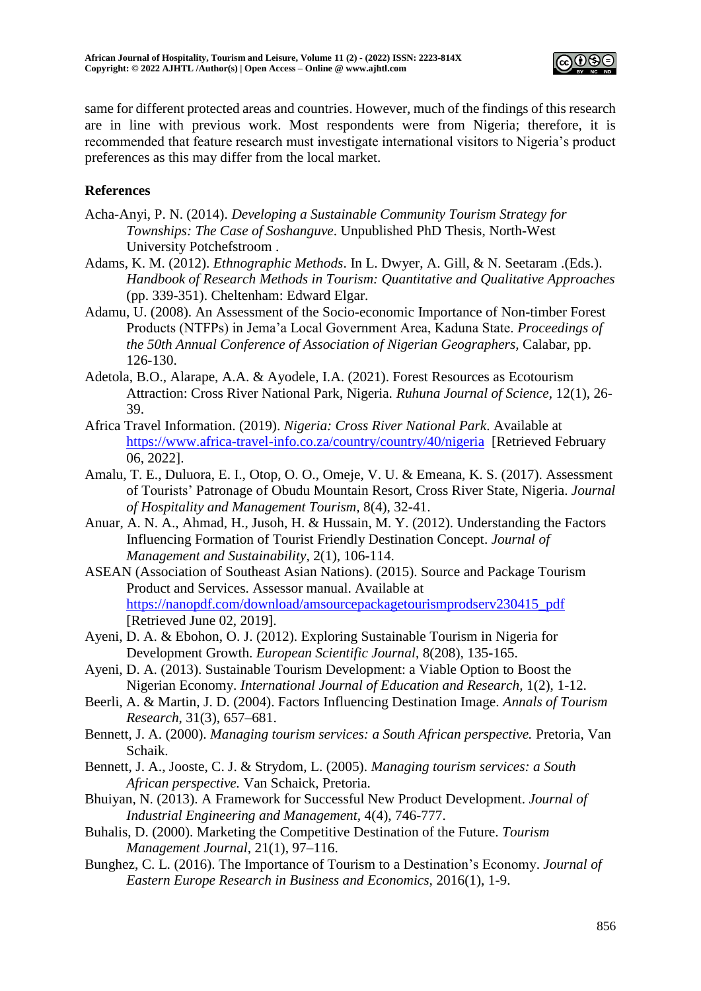

same for different protected areas and countries. However, much of the findings of this research are in line with previous work. Most respondents were from Nigeria; therefore, it is recommended that feature research must investigate international visitors to Nigeria's product preferences as this may differ from the local market.

# **References**

- Acha-Anyi, P. N. (2014). *Developing a Sustainable Community Tourism Strategy for Townships: The Case of Soshanguve*. Unpublished PhD Thesis, North-West University Potchefstroom .
- Adams, K. M. (2012). *Ethnographic Methods*. In L. Dwyer, A. Gill, & N. Seetaram .(Eds.). *Handbook of Research Methods in Tourism: Quantitative and Qualitative Approaches*  (pp. 339-351). Cheltenham: Edward Elgar.
- Adamu, U. (2008). An Assessment of the Socio-economic Importance of Non-timber Forest Products (NTFPs) in Jema'a Local Government Area, Kaduna State. *Proceedings of the 50th Annual Conference of Association of Nigerian Geographers,* Calabar, pp. 126-130.
- Adetola, B.O., Alarape, A.A. & Ayodele, I.A. (2021). Forest Resources as Ecotourism Attraction: Cross River National Park, Nigeria*. Ruhuna Journal of Science,* 12(1), 26- 39.
- Africa Travel Information. (2019). *Nigeria: Cross River National Park*. Available at <https://www.africa-travel-info.co.za/country/country/40/nigeria>[Retrieved February 06, 2022].
- Amalu, T. E., Duluora, E. I., Otop, O. O., Omeje, V. U. & Emeana, K. S. (2017). Assessment of Tourists' Patronage of Obudu Mountain Resort, Cross River State, Nigeria. *Journal of Hospitality and Management Tourism,* 8(4), 32-41.
- Anuar, A. N. A., Ahmad, H., Jusoh, H. & Hussain, M. Y. (2012). Understanding the Factors Influencing Formation of Tourist Friendly Destination Concept. *Journal of Management and Sustainability,* 2(1), 106-114.
- ASEAN (Association of Southeast Asian Nations). (2015). Source and Package Tourism Product and Services. Assessor manual. Available at https://nanopdf.com/download/amsourcepackagetourismprodserv230415\_pdf [Retrieved June 02, 2019].
- Ayeni, D. A. & Ebohon, O. J. (2012). Exploring Sustainable Tourism in Nigeria for Development Growth. *European Scientific Journal*, 8(208), 135-165.
- Ayeni, D. A. (2013). Sustainable Tourism Development: a Viable Option to Boost the Nigerian Economy. *International Journal of Education and Research,* 1(2), 1-12.
- Beerli, A. & Martin, J. D. (2004). Factors Influencing Destination Image. *Annals of Tourism Research*, 31(3), 657–681.
- Bennett, J. A. (2000). *Managing tourism services: a South African perspective.* Pretoria, Van Schaik.
- Bennett, J. A., Jooste, C. J. & Strydom, L. (2005). *Managing tourism services: a South African perspective.* Van Schaick, Pretoria.
- Bhuiyan, N. (2013). A Framework for Successful New Product Development. *Journal of Industrial Engineering and Management,* 4(4), 746-777.
- Buhalis, D. (2000). Marketing the Competitive Destination of the Future. *Tourism Management Journal*, 21(1), 97–116.
- Bunghez, C. L. (2016). The Importance of Tourism to a Destination's Economy. *Journal of Eastern Europe Research in Business and Economics,* 2016(1), 1-9.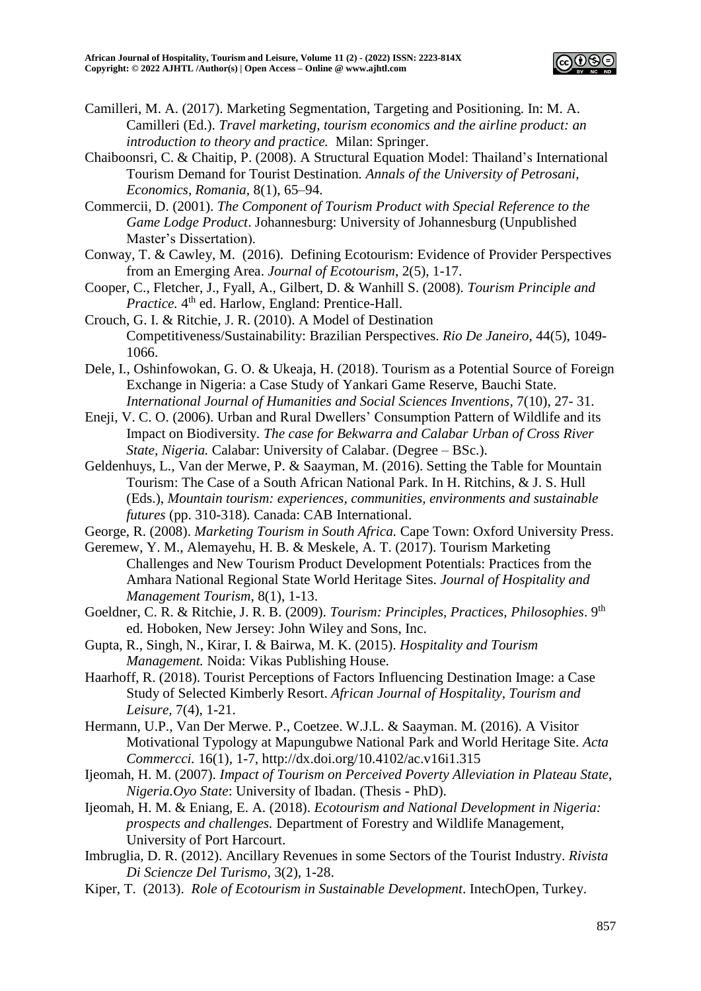

- Camilleri, M. A. (2017). Marketing Segmentation, Targeting and Positioning. In: M. A. Camilleri (Ed.). *Travel marketing, tourism economics and the airline product: an introduction to theory and practice.* Milan: Springer.
- Chaiboonsri, C. & Chaitip, P. (2008). A Structural Equation Model: Thailand's International Tourism Demand for Tourist Destination*. Annals of the University of Petrosani, Economics, Romania,* 8(1), 65–94.
- Commercii, D. (2001). *The Component of Tourism Product with Special Reference to the Game Lodge Product*. Johannesburg: University of Johannesburg (Unpublished Master's Dissertation).
- Conway, T. & Cawley, M. (2016). Defining Ecotourism: Evidence of Provider Perspectives from an Emerging Area. *Journal of Ecotourism*, 2(5), 1-17.
- Cooper, C., Fletcher, J., Fyall, A., Gilbert, D. & Wanhill S. (2008). *Tourism Principle and*  Practice. 4<sup>th</sup> ed. Harlow, England: Prentice-Hall.
- Crouch, G. I. & Ritchie, J. R. (2010). A Model of Destination Competitiveness/Sustainability: Brazilian Perspectives. *Rio De Janeiro*, 44(5), 1049- 1066.
- Dele, I., Oshinfowokan, G. O. & Ukeaja, H. (2018). Tourism as a Potential Source of Foreign Exchange in Nigeria: a Case Study of Yankari Game Reserve, Bauchi State. *International Journal of Humanities and Social Sciences Inventions*, 7(10), 27- 31.
- Eneji, V. C. O. (2006). Urban and Rural Dwellers' Consumption Pattern of Wildlife and its Impact on Biodiversity*. The case for Bekwarra and Calabar Urban of Cross River State, Nigeria.* Calabar: University of Calabar. (Degree – BSc.).
- Geldenhuys, L., Van der Merwe, P. & Saayman, M. (2016). Setting the Table for Mountain Tourism: The Case of a South African National Park. In H. Ritchins, & J. S. Hull (Eds.), *Mountain tourism: experiences, communities, environments and sustainable futures* (pp. 310-318)*.* Canada: CAB International.
- George, R. (2008). *Marketing Tourism in South Africa.* Cape Town: Oxford University Press.
- Geremew, Y. M., Alemayehu, H. B. & Meskele, A. T. (2017). Tourism Marketing Challenges and New Tourism Product Development Potentials: Practices from the Amhara National Regional State World Heritage Sites. *Journal of Hospitality and Management Tourism*, 8(1), 1-13.
- Goeldner, C. R. & Ritchie, J. R. B. (2009). *Tourism: Principles, Practices, Philosophies*. 9th ed. Hoboken, New Jersey: John Wiley and Sons, Inc.
- Gupta, R., Singh, N., Kirar, I. & Bairwa, M. K. (2015). *Hospitality and Tourism Management.* Noida: Vikas Publishing House.
- Haarhoff, R. (2018). Tourist Perceptions of Factors Influencing Destination Image: a Case Study of Selected Kimberly Resort. *African Journal of Hospitality, Tourism and Leisure,* 7(4), 1-21.
- Hermann, U.P., Van Der Merwe. P., Coetzee. W.J.L. & Saayman. M. (2016). A Visitor Motivational Typology at Mapungubwe National Park and World Heritage Site. *Acta Commercci.* 16(1), 1-7, http://dx.doi.org/10.4102/ac.v16i1.315
- Ijeomah, H. M. (2007). *Impact of Tourism on Perceived Poverty Alleviation in Plateau State, Nigeria.Oyo State*: University of Ibadan. (Thesis - PhD).
- Ijeomah, H. M. & Eniang, E. A. (2018). *Ecotourism and National Development in Nigeria: prospects and challenges.* Department of Forestry and Wildlife Management, University of Port Harcourt.
- Imbruglia, D. R. (2012). Ancillary Revenues in some Sectors of the Tourist Industry. *Rivista Di Sciencze Del Turismo,* 3(2), 1-28.
- Kiper, T. (2013). *Role of Ecotourism in Sustainable Development*. IntechOpen, Turkey.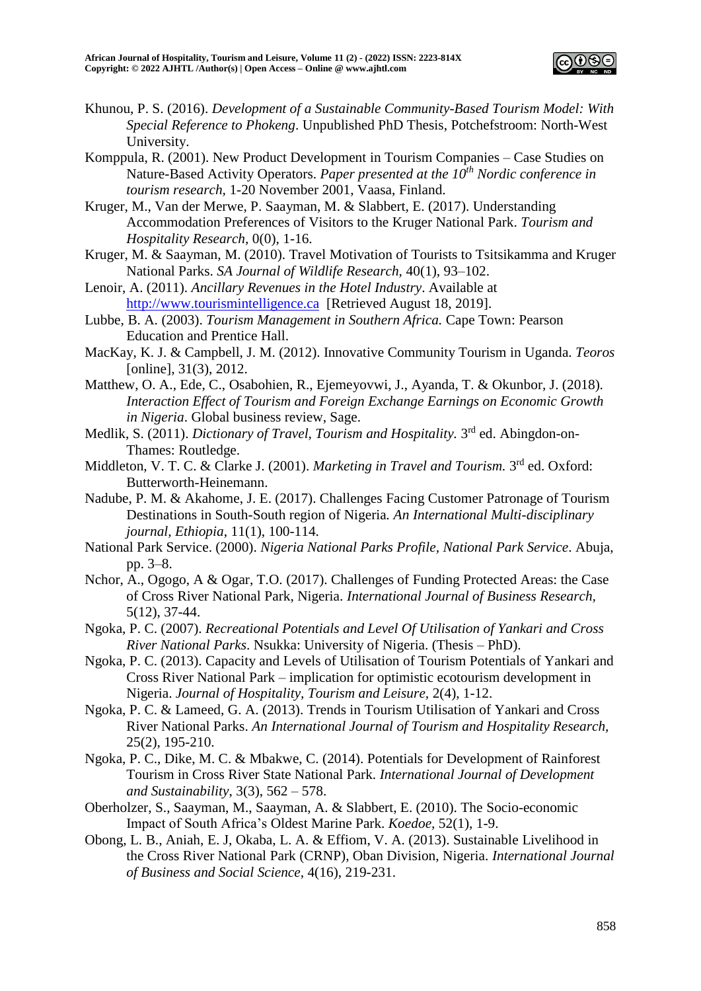

- Khunou, P. S. (2016). *Development of a Sustainable Community-Based Tourism Model: With Special Reference to Phokeng*. Unpublished PhD Thesis, Potchefstroom: North-West University.
- Komppula, R. (2001). New Product Development in Tourism Companies Case Studies on Nature-Based Activity Operators. *Paper presented at the 10th Nordic conference in tourism research,* 1-20 November 2001, Vaasa, Finland.
- Kruger, M., Van der Merwe, P. Saayman, M. & Slabbert, E. (2017). Understanding Accommodation Preferences of Visitors to the Kruger National Park. *Tourism and Hospitality Research,* 0(0), 1-16.
- Kruger, M. & Saayman, M. (2010). Travel Motivation of Tourists to Tsitsikamma and Kruger National Parks. *SA Journal of Wildlife Research,* 40(1), 93–102.
- Lenoir, A. (2011). *Ancillary Revenues in the Hotel Industry*. Available at [http://www.tourismintelligence.ca](http://www.tourismintelligence.ca/) [Retrieved August 18, 2019].
- Lubbe, B. A. (2003). *Tourism Management in Southern Africa.* Cape Town: Pearson Education and Prentice Hall.
- MacKay, K. J. & Campbell, J. M. (2012). Innovative Community Tourism in Uganda. *Teoros* [online], 31(3), 2012.
- Matthew, O. A., Ede, C., Osabohien, R., Ejemeyovwi, J., Ayanda, T. & Okunbor, J. (2018)*. Interaction Effect of Tourism and Foreign Exchange Earnings on Economic Growth in Nigeria*. Global business review, Sage.
- Medlik, S. (2011). *Dictionary of Travel, Tourism and Hospitality*. 3<sup>rd</sup> ed. Abingdon-on-Thames: Routledge.
- Middleton, V. T. C. & Clarke J. (2001). *Marketing in Travel and Tourism*. 3<sup>rd</sup> ed. Oxford: Butterworth-Heinemann.
- Nadube, P. M. & Akahome, J. E. (2017). Challenges Facing Customer Patronage of Tourism Destinations in South-South region of Nigeria*. An International Multi-disciplinary journal, Ethiopia*, 11(1), 100-114.
- National Park Service. (2000). *Nigeria National Parks Profile, National Park Service*. Abuja, pp. 3–8.
- Nchor, A., Ogogo, A & Ogar, T.O. (2017). Challenges of Funding Protected Areas: the Case of Cross River National Park, Nigeria. *International Journal of Business Research,* 5(12), 37-44.
- Ngoka, P. C. (2007). *Recreational Potentials and Level Of Utilisation of Yankari and Cross River National Parks*. Nsukka: University of Nigeria. (Thesis – PhD).
- Ngoka, P. C. (2013). Capacity and Levels of Utilisation of Tourism Potentials of Yankari and Cross River National Park – implication for optimistic ecotourism development in Nigeria. *Journal of Hospitality, Tourism and Leisure,* 2(4), 1-12.
- Ngoka, P. C. & Lameed, G. A. (2013). Trends in Tourism Utilisation of Yankari and Cross River National Parks. *An International Journal of Tourism and Hospitality Research,*  25(2), 195-210.
- Ngoka, P. C., Dike, M. C. & Mbakwe, C. (2014). Potentials for Development of Rainforest Tourism in Cross River State National Park. *International Journal of Development and Sustainability*, 3(3), 562 – 578.
- Oberholzer, S., Saayman, M., Saayman, A. & Slabbert, E. (2010). The Socio-economic Impact of South Africa's Oldest Marine Park. *Koedoe,* 52(1), 1-9.
- Obong, L. B., Aniah, E. J, Okaba, L. A. & Effiom, V. A. (2013). Sustainable Livelihood in the Cross River National Park (CRNP), Oban Division, Nigeria. *International Journal of Business and Social Science,* 4(16), 219-231.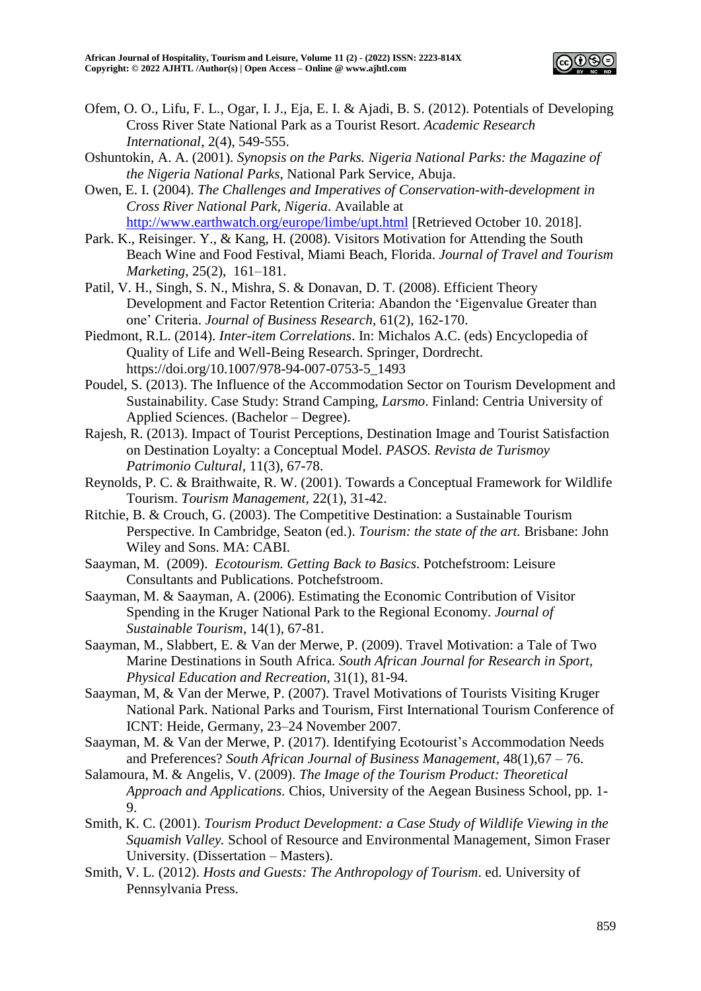

- Ofem, O. O., Lifu, F. L., Ogar, I. J., Eja, E. I. & Ajadi, B. S. (2012). Potentials of Developing Cross River State National Park as a Tourist Resort. *Academic Research International*, 2(4), 549-555.
- Oshuntokin, A. A. (2001). *Synopsis on the Parks. Nigeria National Parks: the Magazine of the Nigeria National Parks*, National Park Service, Abuja.
- Owen, E. I. (2004). *The Challenges and Imperatives of Conservation-with-development in Cross River National Park, Nigeria*. Available at <http://www.earthwatch.org/europe/limbe/upt.html> [Retrieved October 10. 2018].
- Park. K., Reisinger. Y., & Kang, H. (2008). Visitors Motivation for Attending the South Beach Wine and Food Festival, Miami Beach, Florida. *Journal of Travel and Tourism Marketing,* 25(2), 161–181.
- Patil, V. H., Singh, S. N., Mishra, S. & Donavan, D. T. (2008). Efficient Theory Development and Factor Retention Criteria: Abandon the 'Eigenvalue Greater than one' Criteria. *Journal of Business Research,* 61(2), 162-170.
- Piedmont, R.L. (2014). *Inter-item Correlations*. In: Michalos A.C. (eds) Encyclopedia of Quality of Life and Well-Being Research. Springer, Dordrecht. https://doi.org/10.1007/978-94-007-0753-5\_1493
- Poudel, S. (2013). The Influence of the Accommodation Sector on Tourism Development and Sustainability. Case Study: Strand Camping*, Larsmo*. Finland: Centria University of Applied Sciences. (Bachelor – Degree).
- Rajesh, R. (2013). Impact of Tourist Perceptions, Destination Image and Tourist Satisfaction on Destination Loyalty: a Conceptual Model. *PASOS. Revista de Turismoy Patrimonio Cultural,* 11(3), 67-78.
- Reynolds, P. C. & Braithwaite, R. W. (2001). Towards a Conceptual Framework for Wildlife Tourism. *Tourism Management,* 22(1), 31-42.
- Ritchie, B. & Crouch, G. (2003). The Competitive Destination: a Sustainable Tourism Perspective. In Cambridge, Seaton (ed.). *Tourism: the state of the art.* Brisbane: John Wiley and Sons. MA: CABI.
- Saayman, M. (2009). *Ecotourism. Getting Back to Basics*. Potchefstroom: Leisure Consultants and Publications. Potchefstroom.
- Saayman, M. & Saayman, A. (2006). Estimating the Economic Contribution of Visitor Spending in the Kruger National Park to the Regional Economy. *Journal of Sustainable Tourism*, 14(1), 67-81.
- Saayman, M., Slabbert, E. & Van der Merwe, P. (2009). Travel Motivation: a Tale of Two Marine Destinations in South Africa. *South African Journal for Research in Sport, Physical Education and Recreation*, 31(1), 81-94.
- Saayman, M, & Van der Merwe, P. (2007). Travel Motivations of Tourists Visiting Kruger National Park. National Parks and Tourism, First International Tourism Conference of ICNT: Heide, Germany, 23–24 November 2007.
- Saayman, M. & Van der Merwe, P. (2017). Identifying Ecotourist's Accommodation Needs and Preferences? *South African Journal of Business Management,* 48(1),67 – 76.
- Salamoura, M. & Angelis, V. (2009). *The Image of the Tourism Product: Theoretical Approach and Applications.* Chios, University of the Aegean Business School, pp. 1-  $\mathbf{Q}$
- Smith, K. C. (2001). *Tourism Product Development: a Case Study of Wildlife Viewing in the Squamish Valley.* School of Resource and Environmental Management, Simon Fraser University. (Dissertation – Masters).
- Smith, V. L. (2012). *Hosts and Guests: The Anthropology of Tourism*. ed. University of Pennsylvania Press.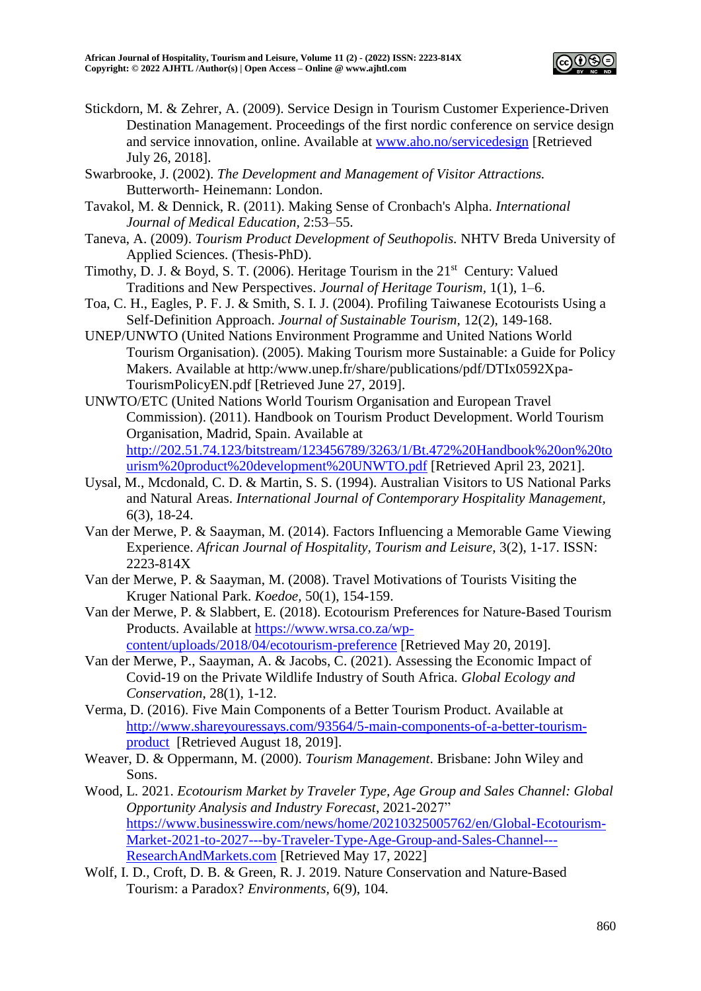

- Stickdorn, M. & Zehrer, A. (2009). Service Design in Tourism Customer Experience-Driven Destination Management. Proceedings of the first nordic conference on service design and service innovation, online. Available at [www.aho.no/servicedesign](http://www.aho.no/servicedesign) [Retrieved July 26, 2018].
- Swarbrooke, J. (2002). *The Development and Management of Visitor Attractions.*  Butterworth- Heinemann: London.
- Tavakol, M. & Dennick, R. (2011). Making Sense of Cronbach's Alpha. *International Journal of Medical Education,* 2:53–55.
- Taneva, A. (2009). *Tourism Product Development of Seuthopolis.* NHTV Breda University of Applied Sciences. (Thesis-PhD).
- Timothy, D. J. & Boyd, S. T. (2006). Heritage Tourism in the  $21<sup>st</sup>$  Century: Valued Traditions and New Perspectives. *Journal of Heritage Tourism,* 1(1), 1–6.
- Toa, C. H., Eagles, P. F. J. & Smith, S. I. J. (2004). Profiling Taiwanese Ecotourists Using a Self-Definition Approach. *Journal of Sustainable Tourism,* 12(2), 149-168.
- UNEP/UNWTO (United Nations Environment Programme and United Nations World Tourism Organisation). (2005). Making Tourism more Sustainable: a Guide for Policy Makers. Available at http:/www.unep.fr/share/publications/pdf/DTIx0592Xpa-TourismPolicyEN.pdf [Retrieved June 27, 2019].
- UNWTO/ETC (United Nations World Tourism Organisation and European Travel Commission). (2011). Handbook on Tourism Product Development. World Tourism Organisation, Madrid, Spain. Available at [http://202.51.74.123/bitstream/123456789/3263/1/Bt.472%20Handbook%20on%20to](http://202.51.74.123/bitstream/123456789/3263/1/Bt.472%20Handbook%20on%20tourism%20product%20development%20UNWTO.pdf) [urism%20product%20development%20UNWTO.pdf](http://202.51.74.123/bitstream/123456789/3263/1/Bt.472%20Handbook%20on%20tourism%20product%20development%20UNWTO.pdf) [Retrieved April 23, 2021].
- Uysal, M., Mcdonald, C. D. & Martin, S. S. (1994). Australian Visitors to US National Parks and Natural Areas. *International Journal of Contemporary Hospitality Management,* 6(3), 18-24.
- Van der Merwe, P. & Saayman, M. (2014). Factors Influencing a Memorable Game Viewing Experience. *African Journal of Hospitality, Tourism and Leisure*, 3(2), 1-17. ISSN: 2223-814X
- Van der Merwe, P. & Saayman, M. (2008). Travel Motivations of Tourists Visiting the Kruger National Park. *Koedoe,* 50(1), 154-159.
- Van der Merwe, P. & Slabbert, E. (2018). Ecotourism Preferences for Nature-Based Tourism Products. Available at [https://www.wrsa.co.za/wp](https://www.wrsa.co.za/wp-content/uploads/2018/04/ecotourism-preference)[content/uploads/2018/04/ecotourism-preference](https://www.wrsa.co.za/wp-content/uploads/2018/04/ecotourism-preference) [Retrieved May 20, 2019].
- Van der Merwe, P., Saayman, A. & Jacobs, C. (2021). Assessing the Economic Impact of Covid-19 on the Private Wildlife Industry of South Africa. *Global Ecology and Conservation*, 28(1), 1-12.
- Verma, D. (2016). Five Main Components of a Better Tourism Product. Available at [http://www.shareyouressays.com/93564/5-main-components-of-a-better-tourism](http://www.shareyouressays.com/93564/5-main-components-of-a-better-tourism-product)[product](http://www.shareyouressays.com/93564/5-main-components-of-a-better-tourism-product) [Retrieved August 18, 2019].
- Weaver, D. & Oppermann, M. (2000). *Tourism Management*. Brisbane: John Wiley and Sons.
- Wood, L. 2021. *Ecotourism Market by Traveler Type, Age Group and Sales Channel: Global Opportunity Analysis and Industry Forecast*, 2021-2027" [https://www.businesswire.com/news/home/20210325005762/en/Global-Ecotourism-](https://www.businesswire.com/news/home/20210325005762/en/Global-Ecotourism-Market-2021-to-2027---by-Traveler-Type-Age-Group-and-Sales-Channel---ResearchAndMarkets.com)[Market-2021-to-2027---by-Traveler-Type-Age-Group-and-Sales-Channel---](https://www.businesswire.com/news/home/20210325005762/en/Global-Ecotourism-Market-2021-to-2027---by-Traveler-Type-Age-Group-and-Sales-Channel---ResearchAndMarkets.com) [ResearchAndMarkets.com](https://www.businesswire.com/news/home/20210325005762/en/Global-Ecotourism-Market-2021-to-2027---by-Traveler-Type-Age-Group-and-Sales-Channel---ResearchAndMarkets.com) [Retrieved May 17, 2022]
- Wolf, I. D., Croft, D. B. & Green, R. J. 2019. Nature Conservation and Nature-Based Tourism: a Paradox? *Environments,* 6(9), 104.